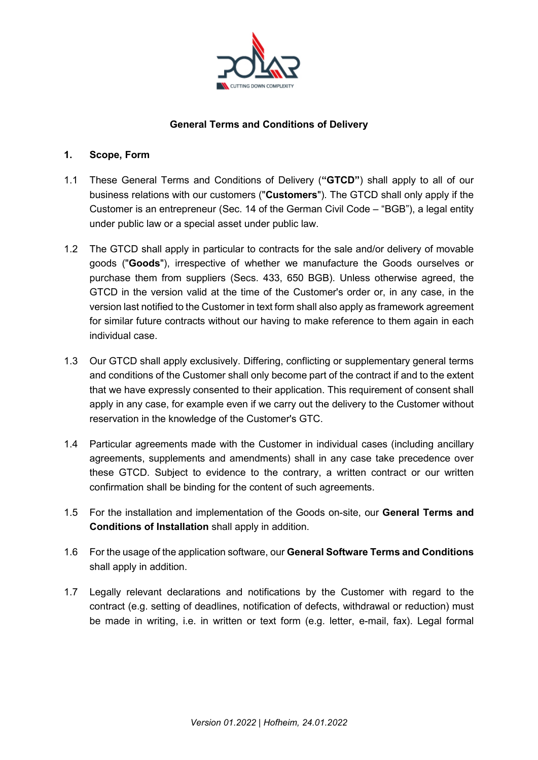

## **General Terms and Conditions of Delivery**

#### **1. Scope, Form**

- 1.1 These General Terms and Conditions of Delivery (**"GTCD"**) shall apply to all of our business relations with our customers ("**Customers**"). The GTCD shall only apply if the Customer is an entrepreneur (Sec. 14 of the German Civil Code – "BGB"), a legal entity under public law or a special asset under public law.
- 1.2 The GTCD shall apply in particular to contracts for the sale and/or delivery of movable goods ("**Goods**"), irrespective of whether we manufacture the Goods ourselves or purchase them from suppliers (Secs. 433, 650 BGB). Unless otherwise agreed, the GTCD in the version valid at the time of the Customer's order or, in any case, in the version last notified to the Customer in text form shall also apply as framework agreement for similar future contracts without our having to make reference to them again in each individual case.
- 1.3 Our GTCD shall apply exclusively. Differing, conflicting or supplementary general terms and conditions of the Customer shall only become part of the contract if and to the extent that we have expressly consented to their application. This requirement of consent shall apply in any case, for example even if we carry out the delivery to the Customer without reservation in the knowledge of the Customer's GTC.
- 1.4 Particular agreements made with the Customer in individual cases (including ancillary agreements, supplements and amendments) shall in any case take precedence over these GTCD. Subject to evidence to the contrary, a written contract or our written confirmation shall be binding for the content of such agreements.
- 1.5 For the installation and implementation of the Goods on-site, our **General Terms and Conditions of Installation** shall apply in addition.
- 1.6 For the usage of the application software, our **General Software Terms and Conditions**  shall apply in addition.
- 1.7 Legally relevant declarations and notifications by the Customer with regard to the contract (e.g. setting of deadlines, notification of defects, withdrawal or reduction) must be made in writing, i.e. in written or text form (e.g. letter, e-mail, fax). Legal formal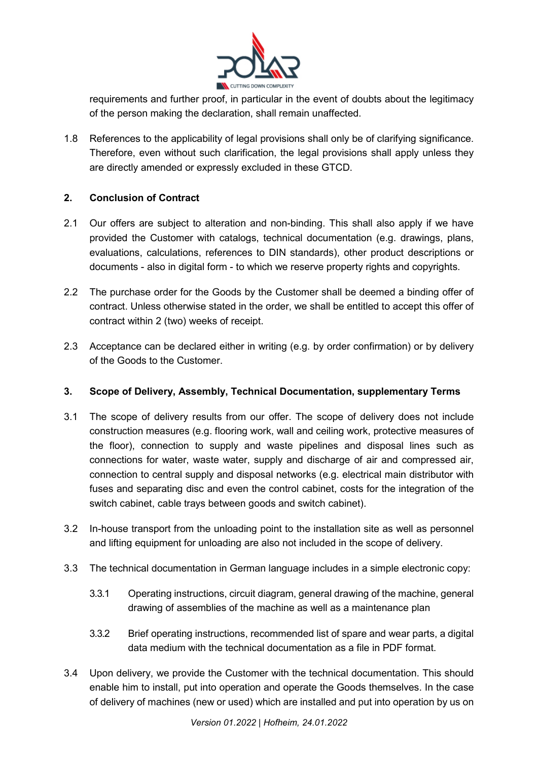

requirements and further proof, in particular in the event of doubts about the legitimacy of the person making the declaration, shall remain unaffected.

1.8 References to the applicability of legal provisions shall only be of clarifying significance. Therefore, even without such clarification, the legal provisions shall apply unless they are directly amended or expressly excluded in these GTCD.

# **2. Conclusion of Contract**

- 2.1 Our offers are subject to alteration and non-binding. This shall also apply if we have provided the Customer with catalogs, technical documentation (e.g. drawings, plans, evaluations, calculations, references to DIN standards), other product descriptions or documents - also in digital form - to which we reserve property rights and copyrights.
- 2.2 The purchase order for the Goods by the Customer shall be deemed a binding offer of contract. Unless otherwise stated in the order, we shall be entitled to accept this offer of contract within 2 (two) weeks of receipt.
- 2.3 Acceptance can be declared either in writing (e.g. by order confirmation) or by delivery of the Goods to the Customer.

# **3. Scope of Delivery, Assembly, Technical Documentation, supplementary Terms**

- 3.1 The scope of delivery results from our offer. The scope of delivery does not include construction measures (e.g. flooring work, wall and ceiling work, protective measures of the floor), connection to supply and waste pipelines and disposal lines such as connections for water, waste water, supply and discharge of air and compressed air, connection to central supply and disposal networks (e.g. electrical main distributor with fuses and separating disc and even the control cabinet, costs for the integration of the switch cabinet, cable trays between goods and switch cabinet).
- 3.2 In-house transport from the unloading point to the installation site as well as personnel and lifting equipment for unloading are also not included in the scope of delivery.
- 3.3 The technical documentation in German language includes in a simple electronic copy:
	- 3.3.1 Operating instructions, circuit diagram, general drawing of the machine, general drawing of assemblies of the machine as well as a maintenance plan
	- 3.3.2 Brief operating instructions, recommended list of spare and wear parts, a digital data medium with the technical documentation as a file in PDF format.
- 3.4 Upon delivery, we provide the Customer with the technical documentation. This should enable him to install, put into operation and operate the Goods themselves. In the case of delivery of machines (new or used) which are installed and put into operation by us on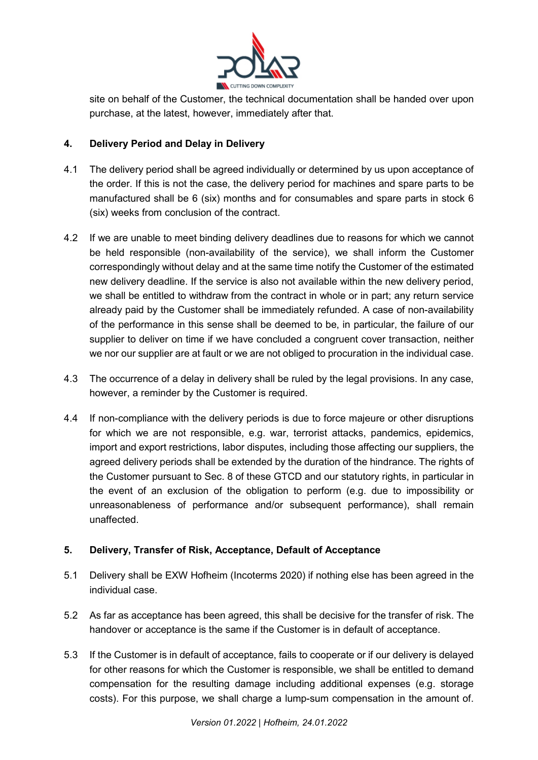

site on behalf of the Customer, the technical documentation shall be handed over upon purchase, at the latest, however, immediately after that.

## **4. Delivery Period and Delay in Delivery**

- 4.1 The delivery period shall be agreed individually or determined by us upon acceptance of the order. If this is not the case, the delivery period for machines and spare parts to be manufactured shall be 6 (six) months and for consumables and spare parts in stock 6 (six) weeks from conclusion of the contract.
- 4.2 If we are unable to meet binding delivery deadlines due to reasons for which we cannot be held responsible (non-availability of the service), we shall inform the Customer correspondingly without delay and at the same time notify the Customer of the estimated new delivery deadline. If the service is also not available within the new delivery period, we shall be entitled to withdraw from the contract in whole or in part; any return service already paid by the Customer shall be immediately refunded. A case of non-availability of the performance in this sense shall be deemed to be, in particular, the failure of our supplier to deliver on time if we have concluded a congruent cover transaction, neither we nor our supplier are at fault or we are not obliged to procuration in the individual case.
- 4.3 The occurrence of a delay in delivery shall be ruled by the legal provisions. In any case, however, a reminder by the Customer is required.
- 4.4 If non-compliance with the delivery periods is due to force majeure or other disruptions for which we are not responsible, e.g. war, terrorist attacks, pandemics, epidemics, import and export restrictions, labor disputes, including those affecting our suppliers, the agreed delivery periods shall be extended by the duration of the hindrance. The rights of the Customer pursuant to Sec. 8 of these GTCD and our statutory rights, in particular in the event of an exclusion of the obligation to perform (e.g. due to impossibility or unreasonableness of performance and/or subsequent performance), shall remain unaffected.

### **5. Delivery, Transfer of Risk, Acceptance, Default of Acceptance**

- 5.1 Delivery shall be EXW Hofheim (Incoterms 2020) if nothing else has been agreed in the individual case.
- 5.2 As far as acceptance has been agreed, this shall be decisive for the transfer of risk. The handover or acceptance is the same if the Customer is in default of acceptance.
- 5.3 If the Customer is in default of acceptance, fails to cooperate or if our delivery is delayed for other reasons for which the Customer is responsible, we shall be entitled to demand compensation for the resulting damage including additional expenses (e.g. storage costs). For this purpose, we shall charge a lump-sum compensation in the amount of.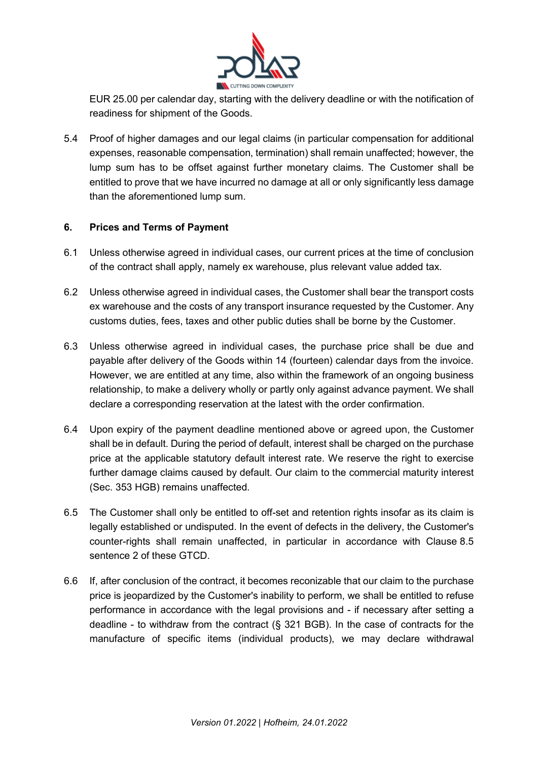

EUR 25.00 per calendar day, starting with the delivery deadline or with the notification of readiness for shipment of the Goods.

5.4 Proof of higher damages and our legal claims (in particular compensation for additional expenses, reasonable compensation, termination) shall remain unaffected; however, the lump sum has to be offset against further monetary claims. The Customer shall be entitled to prove that we have incurred no damage at all or only significantly less damage than the aforementioned lump sum.

## **6. Prices and Terms of Payment**

- 6.1 Unless otherwise agreed in individual cases, our current prices at the time of conclusion of the contract shall apply, namely ex warehouse, plus relevant value added tax.
- 6.2 Unless otherwise agreed in individual cases, the Customer shall bear the transport costs ex warehouse and the costs of any transport insurance requested by the Customer. Any customs duties, fees, taxes and other public duties shall be borne by the Customer.
- 6.3 Unless otherwise agreed in individual cases, the purchase price shall be due and payable after delivery of the Goods within 14 (fourteen) calendar days from the invoice. However, we are entitled at any time, also within the framework of an ongoing business relationship, to make a delivery wholly or partly only against advance payment. We shall declare a corresponding reservation at the latest with the order confirmation.
- 6.4 Upon expiry of the payment deadline mentioned above or agreed upon, the Customer shall be in default. During the period of default, interest shall be charged on the purchase price at the applicable statutory default interest rate. We reserve the right to exercise further damage claims caused by default. Our claim to the commercial maturity interest (Sec. 353 HGB) remains unaffected.
- 6.5 The Customer shall only be entitled to off-set and retention rights insofar as its claim is legally established or undisputed. In the event of defects in the delivery, the Customer's counter-rights shall remain unaffected, in particular in accordance with Clause [8.5](#page-6-0) sentence 2 of these GTCD.
- 6.6 If, after conclusion of the contract, it becomes reconizable that our claim to the purchase price is jeopardized by the Customer's inability to perform, we shall be entitled to refuse performance in accordance with the legal provisions and - if necessary after setting a deadline - to withdraw from the contract (§ 321 BGB). In the case of contracts for the manufacture of specific items (individual products), we may declare withdrawal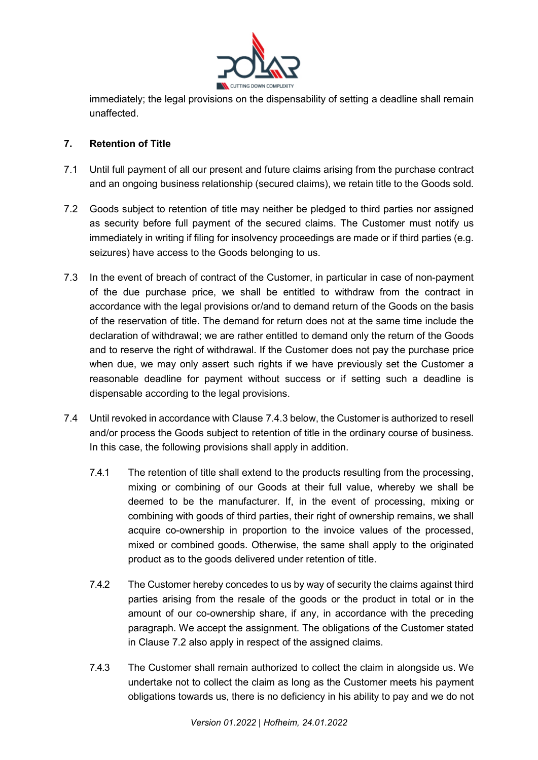

immediately; the legal provisions on the dispensability of setting a deadline shall remain unaffected.

# **7. Retention of Title**

- 7.1 Until full payment of all our present and future claims arising from the purchase contract and an ongoing business relationship (secured claims), we retain title to the Goods sold.
- 7.2 Goods subject to retention of title may neither be pledged to third parties nor assigned as security before full payment of the secured claims. The Customer must notify us immediately in writing if filing for insolvency proceedings are made or if third parties (e.g. seizures) have access to the Goods belonging to us.
- <span id="page-4-1"></span>7.3 In the event of breach of contract of the Customer, in particular in case of non-payment of the due purchase price, we shall be entitled to withdraw from the contract in accordance with the legal provisions or/and to demand return of the Goods on the basis of the reservation of title. The demand for return does not at the same time include the declaration of withdrawal; we are rather entitled to demand only the return of the Goods and to reserve the right of withdrawal. If the Customer does not pay the purchase price when due, we may only assert such rights if we have previously set the Customer a reasonable deadline for payment without success or if setting such a deadline is dispensable according to the legal provisions.
- <span id="page-4-0"></span>7.4 Until revoked in accordance with Clause [7.4.3 b](#page-4-0)elow, the Customer is authorized to resell and/or process the Goods subject to retention of title in the ordinary course of business. In this case, the following provisions shall apply in addition.
	- 7.4.1 The retention of title shall extend to the products resulting from the processing, mixing or combining of our Goods at their full value, whereby we shall be deemed to be the manufacturer. If, in the event of processing, mixing or combining with goods of third parties, their right of ownership remains, we shall acquire co-ownership in proportion to the invoice values of the processed, mixed or combined goods. Otherwise, the same shall apply to the originated product as to the goods delivered under retention of title.
	- 7.4.2 The Customer hereby concedes to us by way of security the claims against third parties arising from the resale of the goods or the product in total or in the amount of our co-ownership share, if any, in accordance with the preceding paragraph. We accept the assignment. The obligations of the Customer stated in Clause 7.2 also apply in respect of the assigned claims.
	- 7.4.3 The Customer shall remain authorized to collect the claim in alongside us. We undertake not to collect the claim as long as the Customer meets his payment obligations towards us, there is no deficiency in his ability to pay and we do not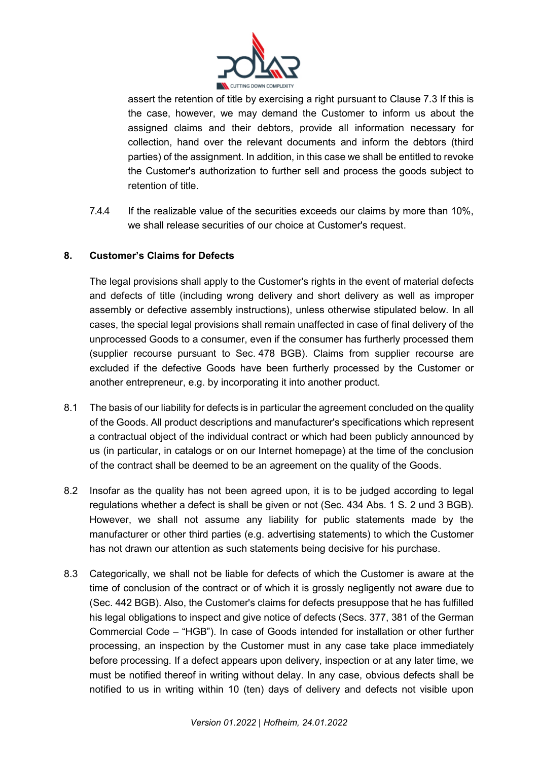

assert the retention of title by exercising a right pursuant to Clause [7.3](#page-4-1) If this is the case, however, we may demand the Customer to inform us about the assigned claims and their debtors, provide all information necessary for collection, hand over the relevant documents and inform the debtors (third parties) of the assignment. In addition, in this case we shall be entitled to revoke the Customer's authorization to further sell and process the goods subject to retention of title.

7.4.4 If the realizable value of the securities exceeds our claims by more than 10%, we shall release securities of our choice at Customer's request.

# **8. Customer's Claims for Defects**

The legal provisions shall apply to the Customer's rights in the event of material defects and defects of title (including wrong delivery and short delivery as well as improper assembly or defective assembly instructions), unless otherwise stipulated below. In all cases, the special legal provisions shall remain unaffected in case of final delivery of the unprocessed Goods to a consumer, even if the consumer has furtherly processed them (supplier recourse pursuant to Sec. 478 BGB). Claims from supplier recourse are excluded if the defective Goods have been furtherly processed by the Customer or another entrepreneur, e.g. by incorporating it into another product.

- 8.1 The basis of our liability for defects is in particular the agreement concluded on the quality of the Goods. All product descriptions and manufacturer's specifications which represent a contractual object of the individual contract or which had been publicly announced by us (in particular, in catalogs or on our Internet homepage) at the time of the conclusion of the contract shall be deemed to be an agreement on the quality of the Goods.
- 8.2 Insofar as the quality has not been agreed upon, it is to be judged according to legal regulations whether a defect is shall be given or not (Sec. 434 Abs. 1 S. 2 und 3 BGB). However, we shall not assume any liability for public statements made by the manufacturer or other third parties (e.g. advertising statements) to which the Customer has not drawn our attention as such statements being decisive for his purchase.
- 8.3 Categorically, we shall not be liable for defects of which the Customer is aware at the time of conclusion of the contract or of which it is grossly negligently not aware due to (Sec. 442 BGB). Also, the Customer's claims for defects presuppose that he has fulfilled his legal obligations to inspect and give notice of defects (Secs. 377, 381 of the German Commercial Code – "HGB"). In case of Goods intended for installation or other further processing, an inspection by the Customer must in any case take place immediately before processing. If a defect appears upon delivery, inspection or at any later time, we must be notified thereof in writing without delay. In any case, obvious defects shall be notified to us in writing within 10 (ten) days of delivery and defects not visible upon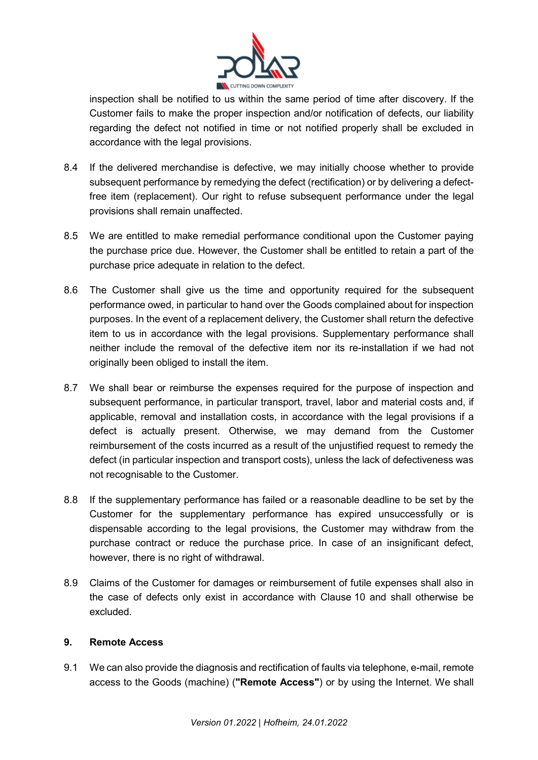

inspection shall be notified to us within the same period of time after discovery. If the Customer fails to make the proper inspection and/or notification of defects, our liability regarding the defect not notified in time or not notified properly shall be excluded in accordance with the legal provisions.

- 8.4 If the delivered merchandise is defective, we may initially choose whether to provide subsequent performance by remedying the defect (rectification) or by delivering a defectfree item (replacement). Our right to refuse subsequent performance under the legal provisions shall remain unaffected.
- <span id="page-6-0"></span>8.5 We are entitled to make remedial performance conditional upon the Customer paying the purchase price due. However, the Customer shall be entitled to retain a part of the purchase price adequate in relation to the defect.
- 8.6 The Customer shall give us the time and opportunity required for the subsequent performance owed, in particular to hand over the Goods complained about for inspection purposes. In the event of a replacement delivery, the Customer shall return the defective item to us in accordance with the legal provisions. Supplementary performance shall neither include the removal of the defective item nor its re-installation if we had not originally been obliged to install the item.
- 8.7 We shall bear or reimburse the expenses required for the purpose of inspection and subsequent performance, in particular transport, travel, labor and material costs and, if applicable, removal and installation costs, in accordance with the legal provisions if a defect is actually present. Otherwise, we may demand from the Customer reimbursement of the costs incurred as a result of the unjustified request to remedy the defect (in particular inspection and transport costs), unless the lack of defectiveness was not recognisable to the Customer.
- 8.8 If the supplementary performance has failed or a reasonable deadline to be set by the Customer for the supplementary performance has expired unsuccessfully or is dispensable according to the legal provisions, the Customer may withdraw from the purchase contract or reduce the purchase price. In case of an insignificant defect, however, there is no right of withdrawal.
- 8.9 Claims of the Customer for damages or reimbursement of futile expenses shall also in the case of defects only exist in accordance with Clause 10 and shall otherwise be excluded.

### **9. Remote Access**

9.1 We can also provide the diagnosis and rectification of faults via telephone, e-mail, remote access to the Goods (machine) (**"Remote Access"**) or by using the Internet. We shall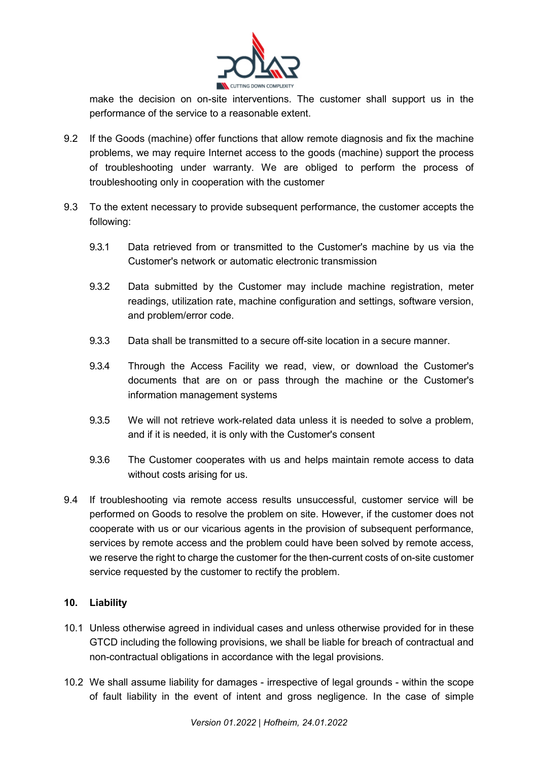

make the decision on on-site interventions. The customer shall support us in the performance of the service to a reasonable extent.

- 9.2 If the Goods (machine) offer functions that allow remote diagnosis and fix the machine problems, we may require Internet access to the goods (machine) support the process of troubleshooting under warranty. We are obliged to perform the process of troubleshooting only in cooperation with the customer
- 9.3 To the extent necessary to provide subsequent performance, the customer accepts the following:
	- 9.3.1 Data retrieved from or transmitted to the Customer's machine by us via the Customer's network or automatic electronic transmission
	- 9.3.2 Data submitted by the Customer may include machine registration, meter readings, utilization rate, machine configuration and settings, software version, and problem/error code.
	- 9.3.3 Data shall be transmitted to a secure off-site location in a secure manner.
	- 9.3.4 Through the Access Facility we read, view, or download the Customer's documents that are on or pass through the machine or the Customer's information management systems
	- 9.3.5 We will not retrieve work-related data unless it is needed to solve a problem, and if it is needed, it is only with the Customer's consent
	- 9.3.6 The Customer cooperates with us and helps maintain remote access to data without costs arising for us.
- 9.4 If troubleshooting via remote access results unsuccessful, customer service will be performed on Goods to resolve the problem on site. However, if the customer does not cooperate with us or our vicarious agents in the provision of subsequent performance, services by remote access and the problem could have been solved by remote access, we reserve the right to charge the customer for the then-current costs of on-site customer service requested by the customer to rectify the problem.

# **10. Liability**

- 10.1 Unless otherwise agreed in individual cases and unless otherwise provided for in these GTCD including the following provisions, we shall be liable for breach of contractual and non-contractual obligations in accordance with the legal provisions.
- 10.2 We shall assume liability for damages irrespective of legal grounds within the scope of fault liability in the event of intent and gross negligence. In the case of simple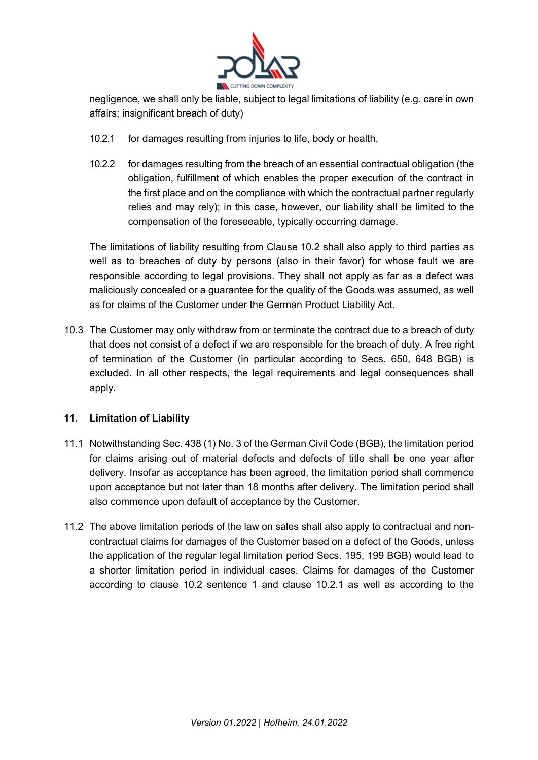

negligence, we shall only be liable, subject to legal limitations of liability (e.g. care in own affairs; insignificant breach of duty)

- 10.2.1 for damages resulting from injuries to life, body or health,
- 10.2.2 for damages resulting from the breach of an essential contractual obligation (the obligation, fulfillment of which enables the proper execution of the contract in the first place and on the compliance with which the contractual partner regularly relies and may rely); in this case, however, our liability shall be limited to the compensation of the foreseeable, typically occurring damage.

The limitations of liability resulting from Clause 10.2 shall also apply to third parties as well as to breaches of duty by persons (also in their favor) for whose fault we are responsible according to legal provisions. They shall not apply as far as a defect was maliciously concealed or a guarantee for the quality of the Goods was assumed, as well as for claims of the Customer under the German Product Liability Act.

10.3 The Customer may only withdraw from or terminate the contract due to a breach of duty that does not consist of a defect if we are responsible for the breach of duty. A free right of termination of the Customer (in particular according to Secs. 650, 648 BGB) is excluded. In all other respects, the legal requirements and legal consequences shall apply.

### **11. Limitation of Liability**

- 11.1 Notwithstanding Sec. 438 (1) No. 3 of the German Civil Code (BGB), the limitation period for claims arising out of material defects and defects of title shall be one year after delivery. Insofar as acceptance has been agreed, the limitation period shall commence upon acceptance but not later than 18 months after delivery. The limitation period shall also commence upon default of acceptance by the Customer.
- 11.2 The above limitation periods of the law on sales shall also apply to contractual and noncontractual claims for damages of the Customer based on a defect of the Goods, unless the application of the regular legal limitation period Secs. 195, 199 BGB) would lead to a shorter limitation period in individual cases. Claims for damages of the Customer according to clause 10.2 sentence 1 and clause 10.2.1 as well as according to the